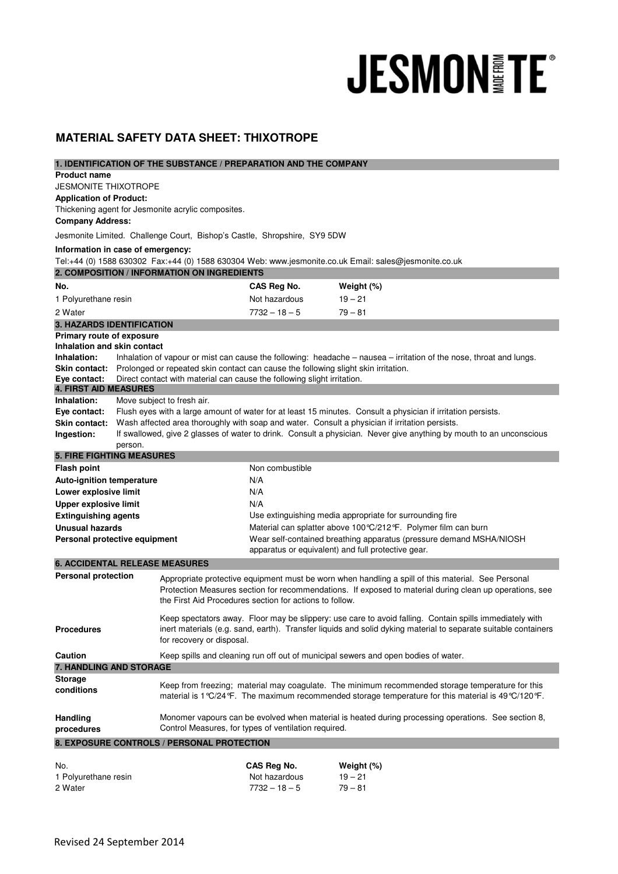## **JESMON FE®**

## **MATERIAL SAFETY DATA SHEET: THIXOTROPE**

| 1. IDENTIFICATION OF THE SUBSTANCE / PREPARATION AND THE COMPANY |                                                                                                                                                                             |                                                                                                |                                                                                                                                                                                                                           |                                                                                                                                                                                                               |  |  |
|------------------------------------------------------------------|-----------------------------------------------------------------------------------------------------------------------------------------------------------------------------|------------------------------------------------------------------------------------------------|---------------------------------------------------------------------------------------------------------------------------------------------------------------------------------------------------------------------------|---------------------------------------------------------------------------------------------------------------------------------------------------------------------------------------------------------------|--|--|
| <b>Product name</b>                                              |                                                                                                                                                                             |                                                                                                |                                                                                                                                                                                                                           |                                                                                                                                                                                                               |  |  |
| <b>JESMONITE THIXOTROPE</b>                                      |                                                                                                                                                                             |                                                                                                |                                                                                                                                                                                                                           |                                                                                                                                                                                                               |  |  |
| <b>Application of Product:</b>                                   |                                                                                                                                                                             | Thickening agent for Jesmonite acrylic composites.                                             |                                                                                                                                                                                                                           |                                                                                                                                                                                                               |  |  |
| <b>Company Address:</b>                                          |                                                                                                                                                                             |                                                                                                |                                                                                                                                                                                                                           |                                                                                                                                                                                                               |  |  |
|                                                                  |                                                                                                                                                                             | Jesmonite Limited. Challenge Court, Bishop's Castle, Shropshire, SY9 5DW                       |                                                                                                                                                                                                                           |                                                                                                                                                                                                               |  |  |
| Information in case of emergency:                                |                                                                                                                                                                             |                                                                                                |                                                                                                                                                                                                                           |                                                                                                                                                                                                               |  |  |
|                                                                  |                                                                                                                                                                             |                                                                                                |                                                                                                                                                                                                                           | Tel:+44 (0) 1588 630302 Fax:+44 (0) 1588 630304 Web: www.jesmonite.co.uk Email: sales@jesmonite.co.uk                                                                                                         |  |  |
|                                                                  |                                                                                                                                                                             | 2. COMPOSITION / INFORMATION ON INGREDIENTS                                                    |                                                                                                                                                                                                                           |                                                                                                                                                                                                               |  |  |
| No.                                                              |                                                                                                                                                                             |                                                                                                | CAS Reg No.                                                                                                                                                                                                               | Weight (%)                                                                                                                                                                                                    |  |  |
| 1 Polyurethane resin                                             |                                                                                                                                                                             |                                                                                                | Not hazardous                                                                                                                                                                                                             | $19 - 21$                                                                                                                                                                                                     |  |  |
| 2 Water                                                          |                                                                                                                                                                             |                                                                                                | $7732 - 18 - 5$                                                                                                                                                                                                           | $79 - 81$                                                                                                                                                                                                     |  |  |
| <b>3. HAZARDS IDENTIFICATION</b>                                 |                                                                                                                                                                             |                                                                                                |                                                                                                                                                                                                                           |                                                                                                                                                                                                               |  |  |
| Primary route of exposure                                        |                                                                                                                                                                             |                                                                                                |                                                                                                                                                                                                                           |                                                                                                                                                                                                               |  |  |
| Inhalation and skin contact                                      |                                                                                                                                                                             |                                                                                                |                                                                                                                                                                                                                           |                                                                                                                                                                                                               |  |  |
| Inhalation:                                                      |                                                                                                                                                                             |                                                                                                |                                                                                                                                                                                                                           | Inhalation of vapour or mist can cause the following: headache - nausea - irritation of the nose, throat and lungs.                                                                                           |  |  |
| Eye contact:                                                     | Skin contact: Prolonged or repeated skin contact can cause the following slight skin irritation.<br>Direct contact with material can cause the following slight irritation. |                                                                                                |                                                                                                                                                                                                                           |                                                                                                                                                                                                               |  |  |
| <b>4. FIRST AID MEASURES</b>                                     |                                                                                                                                                                             |                                                                                                |                                                                                                                                                                                                                           |                                                                                                                                                                                                               |  |  |
| Inhalation:                                                      |                                                                                                                                                                             | Move subject to fresh air.                                                                     |                                                                                                                                                                                                                           |                                                                                                                                                                                                               |  |  |
| Eye contact:                                                     | Flush eyes with a large amount of water for at least 15 minutes. Consult a physician if irritation persists.                                                                |                                                                                                |                                                                                                                                                                                                                           |                                                                                                                                                                                                               |  |  |
| <b>Skin contact:</b>                                             |                                                                                                                                                                             | Wash affected area thoroughly with soap and water. Consult a physician if irritation persists. |                                                                                                                                                                                                                           |                                                                                                                                                                                                               |  |  |
| Ingestion:                                                       |                                                                                                                                                                             |                                                                                                |                                                                                                                                                                                                                           | If swallowed, give 2 glasses of water to drink. Consult a physician. Never give anything by mouth to an unconscious                                                                                           |  |  |
|                                                                  | person.                                                                                                                                                                     |                                                                                                |                                                                                                                                                                                                                           |                                                                                                                                                                                                               |  |  |
| <b>5. FIRE FIGHTING MEASURES</b>                                 |                                                                                                                                                                             |                                                                                                |                                                                                                                                                                                                                           |                                                                                                                                                                                                               |  |  |
| <b>Flash point</b>                                               |                                                                                                                                                                             |                                                                                                | Non combustible<br>N/A                                                                                                                                                                                                    |                                                                                                                                                                                                               |  |  |
| <b>Auto-ignition temperature</b><br>Lower explosive limit        |                                                                                                                                                                             |                                                                                                | N/A                                                                                                                                                                                                                       |                                                                                                                                                                                                               |  |  |
| <b>Upper explosive limit</b>                                     |                                                                                                                                                                             |                                                                                                | N/A                                                                                                                                                                                                                       |                                                                                                                                                                                                               |  |  |
| <b>Extinguishing agents</b>                                      |                                                                                                                                                                             |                                                                                                |                                                                                                                                                                                                                           | Use extinguishing media appropriate for surrounding fire                                                                                                                                                      |  |  |
| <b>Unusual hazards</b>                                           |                                                                                                                                                                             |                                                                                                | Material can splatter above 100 °C/212 °F. Polymer film can burn                                                                                                                                                          |                                                                                                                                                                                                               |  |  |
| Personal protective equipment                                    |                                                                                                                                                                             |                                                                                                | Wear self-contained breathing apparatus (pressure demand MSHA/NIOSH                                                                                                                                                       |                                                                                                                                                                                                               |  |  |
|                                                                  |                                                                                                                                                                             |                                                                                                |                                                                                                                                                                                                                           | apparatus or equivalent) and full protective gear.                                                                                                                                                            |  |  |
| <b>6. ACCIDENTAL RELEASE MEASURES</b>                            |                                                                                                                                                                             |                                                                                                |                                                                                                                                                                                                                           |                                                                                                                                                                                                               |  |  |
| <b>Personal protection</b>                                       |                                                                                                                                                                             | the First Aid Procedures section for actions to follow.                                        |                                                                                                                                                                                                                           | Appropriate protective equipment must be worn when handling a spill of this material. See Personal<br>Protection Measures section for recommendations. If exposed to material during clean up operations, see |  |  |
| <b>Procedures</b>                                                |                                                                                                                                                                             | for recovery or disposal.                                                                      | Keep spectators away. Floor may be slippery: use care to avoid falling. Contain spills immediately with<br>inert materials (e.g. sand, earth). Transfer liquids and solid dyking material to separate suitable containers |                                                                                                                                                                                                               |  |  |
| Caution                                                          |                                                                                                                                                                             |                                                                                                |                                                                                                                                                                                                                           | Keep spills and cleaning run off out of municipal sewers and open bodies of water.                                                                                                                            |  |  |
| 7. HANDLING AND STORAGE                                          |                                                                                                                                                                             |                                                                                                |                                                                                                                                                                                                                           |                                                                                                                                                                                                               |  |  |
| <b>Storage</b><br>conditions                                     |                                                                                                                                                                             |                                                                                                |                                                                                                                                                                                                                           | Keep from freezing; material may coagulate. The minimum recommended storage temperature for this<br>material is 1 °C/24 °F. The maximum recommended storage temperature for this material is 49 °C/120 °F.    |  |  |
| Handling<br>procedures                                           |                                                                                                                                                                             | Control Measures, for types of ventilation required.                                           |                                                                                                                                                                                                                           | Monomer vapours can be evolved when material is heated during processing operations. See section 8,                                                                                                           |  |  |
|                                                                  |                                                                                                                                                                             | 8. EXPOSURE CONTROLS / PERSONAL PROTECTION                                                     |                                                                                                                                                                                                                           |                                                                                                                                                                                                               |  |  |
|                                                                  |                                                                                                                                                                             |                                                                                                |                                                                                                                                                                                                                           |                                                                                                                                                                                                               |  |  |
| No.                                                              |                                                                                                                                                                             |                                                                                                | CAS Reg No.                                                                                                                                                                                                               | Weight (%)                                                                                                                                                                                                    |  |  |

1 Polyurethane resin Not hazardous 19 – 21 2 Water 7732 – 18 – 5 79 – 81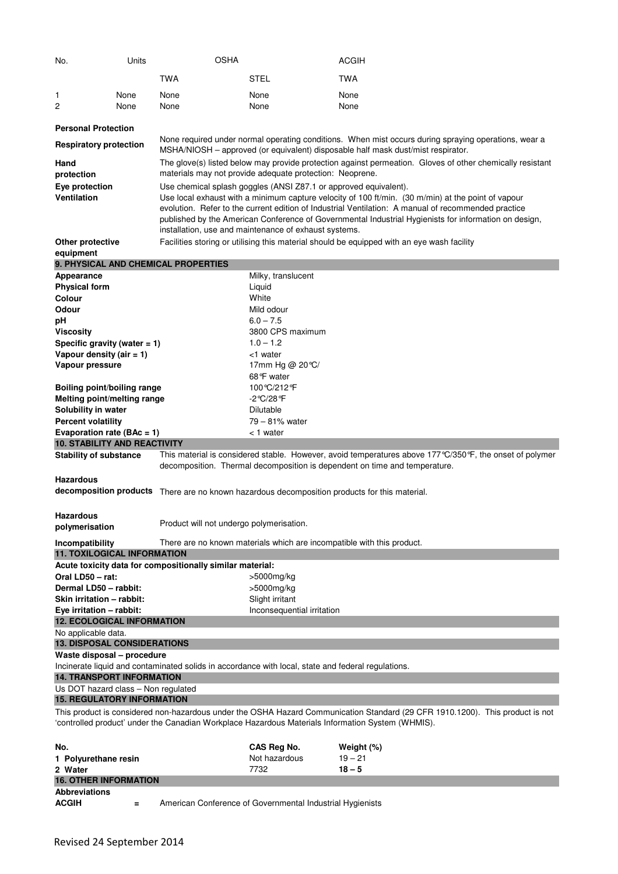| No.                                                                                                                                                                                                                                | Units | <b>OSHA</b>                                               |                                                                                                                                                                       | <b>ACGIH</b>                                                                                                                                                                                                                                                                                                       |  |  |  |
|------------------------------------------------------------------------------------------------------------------------------------------------------------------------------------------------------------------------------------|-------|-----------------------------------------------------------|-----------------------------------------------------------------------------------------------------------------------------------------------------------------------|--------------------------------------------------------------------------------------------------------------------------------------------------------------------------------------------------------------------------------------------------------------------------------------------------------------------|--|--|--|
|                                                                                                                                                                                                                                    |       | TWA                                                       | STEL                                                                                                                                                                  | <b>TWA</b>                                                                                                                                                                                                                                                                                                         |  |  |  |
| 1                                                                                                                                                                                                                                  | None  | None                                                      | None                                                                                                                                                                  | None                                                                                                                                                                                                                                                                                                               |  |  |  |
| 2                                                                                                                                                                                                                                  | None  | None                                                      | None                                                                                                                                                                  | None                                                                                                                                                                                                                                                                                                               |  |  |  |
|                                                                                                                                                                                                                                    |       |                                                           |                                                                                                                                                                       |                                                                                                                                                                                                                                                                                                                    |  |  |  |
| <b>Personal Protection</b>                                                                                                                                                                                                         |       |                                                           |                                                                                                                                                                       |                                                                                                                                                                                                                                                                                                                    |  |  |  |
| <b>Respiratory protection</b>                                                                                                                                                                                                      |       |                                                           |                                                                                                                                                                       | None required under normal operating conditions. When mist occurs during spraying operations, wear a<br>MSHA/NIOSH - approved (or equivalent) disposable half mask dust/mist respirator.                                                                                                                           |  |  |  |
| Hand<br>protection                                                                                                                                                                                                                 |       |                                                           | The glove(s) listed below may provide protection against permeation. Gloves of other chemically resistant<br>materials may not provide adequate protection: Neoprene. |                                                                                                                                                                                                                                                                                                                    |  |  |  |
| Eye protection<br>Use chemical splash goggles (ANSI Z87.1 or approved equivalent).                                                                                                                                                 |       |                                                           |                                                                                                                                                                       |                                                                                                                                                                                                                                                                                                                    |  |  |  |
| Ventilation                                                                                                                                                                                                                        |       |                                                           | installation, use and maintenance of exhaust systems.                                                                                                                 | Use local exhaust with a minimum capture velocity of 100 ft/min. (30 m/min) at the point of vapour<br>evolution. Refer to the current edition of Industrial Ventilation: A manual of recommended practice<br>published by the American Conference of Governmental Industrial Hygienists for information on design, |  |  |  |
| Other protective                                                                                                                                                                                                                   |       |                                                           |                                                                                                                                                                       | Facilities storing or utilising this material should be equipped with an eye wash facility                                                                                                                                                                                                                         |  |  |  |
| equipment                                                                                                                                                                                                                          |       | 9. PHYSICAL AND CHEMICAL PROPERTIES                       |                                                                                                                                                                       |                                                                                                                                                                                                                                                                                                                    |  |  |  |
| Appearance                                                                                                                                                                                                                         |       |                                                           | Milky, translucent                                                                                                                                                    |                                                                                                                                                                                                                                                                                                                    |  |  |  |
| <b>Physical form</b>                                                                                                                                                                                                               |       |                                                           | Liquid                                                                                                                                                                |                                                                                                                                                                                                                                                                                                                    |  |  |  |
| Colour                                                                                                                                                                                                                             |       |                                                           | White                                                                                                                                                                 |                                                                                                                                                                                                                                                                                                                    |  |  |  |
| Odour                                                                                                                                                                                                                              |       |                                                           | Mild odour                                                                                                                                                            |                                                                                                                                                                                                                                                                                                                    |  |  |  |
| рH                                                                                                                                                                                                                                 |       |                                                           | $6.0 - 7.5$                                                                                                                                                           |                                                                                                                                                                                                                                                                                                                    |  |  |  |
| Viscosity                                                                                                                                                                                                                          |       |                                                           | 3800 CPS maximum                                                                                                                                                      |                                                                                                                                                                                                                                                                                                                    |  |  |  |
| Specific gravity (water $= 1$ )                                                                                                                                                                                                    |       |                                                           | $1.0 - 1.2$                                                                                                                                                           |                                                                                                                                                                                                                                                                                                                    |  |  |  |
| Vapour density (air = 1)                                                                                                                                                                                                           |       |                                                           | <1 water                                                                                                                                                              |                                                                                                                                                                                                                                                                                                                    |  |  |  |
| Vapour pressure                                                                                                                                                                                                                    |       |                                                           | 17mm Hg @ 20 ℃/                                                                                                                                                       |                                                                                                                                                                                                                                                                                                                    |  |  |  |
|                                                                                                                                                                                                                                    |       |                                                           | 68°F water                                                                                                                                                            |                                                                                                                                                                                                                                                                                                                    |  |  |  |
| Boiling point/boiling range                                                                                                                                                                                                        |       |                                                           | 100°C/212°F                                                                                                                                                           |                                                                                                                                                                                                                                                                                                                    |  |  |  |
| Melting point/melting range                                                                                                                                                                                                        |       |                                                           | -2℃/28°F                                                                                                                                                              |                                                                                                                                                                                                                                                                                                                    |  |  |  |
| Solubility in water                                                                                                                                                                                                                |       |                                                           | Dilutable                                                                                                                                                             |                                                                                                                                                                                                                                                                                                                    |  |  |  |
| <b>Percent volatility</b>                                                                                                                                                                                                          |       |                                                           | 79 - 81% water                                                                                                                                                        |                                                                                                                                                                                                                                                                                                                    |  |  |  |
| Evaporation rate ( $BAc = 1$ )                                                                                                                                                                                                     |       |                                                           | < 1 water                                                                                                                                                             |                                                                                                                                                                                                                                                                                                                    |  |  |  |
| <b>10. STABILITY AND REACTIVITY</b>                                                                                                                                                                                                |       |                                                           |                                                                                                                                                                       |                                                                                                                                                                                                                                                                                                                    |  |  |  |
| <b>Stability of substance</b>                                                                                                                                                                                                      |       |                                                           |                                                                                                                                                                       | This material is considered stable. However, avoid temperatures above 177 °C/350 °F, the onset of polymer<br>decomposition. Thermal decomposition is dependent on time and temperature.                                                                                                                            |  |  |  |
| <b>Hazardous</b>                                                                                                                                                                                                                   |       |                                                           |                                                                                                                                                                       |                                                                                                                                                                                                                                                                                                                    |  |  |  |
|                                                                                                                                                                                                                                    |       |                                                           |                                                                                                                                                                       | decomposition products There are no known hazardous decomposition products for this material.                                                                                                                                                                                                                      |  |  |  |
|                                                                                                                                                                                                                                    |       |                                                           |                                                                                                                                                                       |                                                                                                                                                                                                                                                                                                                    |  |  |  |
| Hazardous<br>polymerisation                                                                                                                                                                                                        |       | Product will not undergo polymerisation.                  |                                                                                                                                                                       |                                                                                                                                                                                                                                                                                                                    |  |  |  |
| Incompatibility                                                                                                                                                                                                                    |       |                                                           | There are no known materials which are incompatible with this product.                                                                                                |                                                                                                                                                                                                                                                                                                                    |  |  |  |
| <b>11. TOXILOGICAL INFORMATION</b>                                                                                                                                                                                                 |       |                                                           |                                                                                                                                                                       |                                                                                                                                                                                                                                                                                                                    |  |  |  |
|                                                                                                                                                                                                                                    |       | Acute toxicity data for compositionally similar material: |                                                                                                                                                                       |                                                                                                                                                                                                                                                                                                                    |  |  |  |
| Oral LD50 - rat:                                                                                                                                                                                                                   |       |                                                           | >5000mg/kg                                                                                                                                                            |                                                                                                                                                                                                                                                                                                                    |  |  |  |
| Dermal LD50 - rabbit:                                                                                                                                                                                                              |       |                                                           | >5000mg/kg                                                                                                                                                            |                                                                                                                                                                                                                                                                                                                    |  |  |  |
| Skin irritation - rabbit:                                                                                                                                                                                                          |       |                                                           | Slight irritant                                                                                                                                                       |                                                                                                                                                                                                                                                                                                                    |  |  |  |
| Eye irritation - rabbit:                                                                                                                                                                                                           |       |                                                           | Inconsequential irritation                                                                                                                                            |                                                                                                                                                                                                                                                                                                                    |  |  |  |
| <b>12. ECOLOGICAL INFORMATION</b>                                                                                                                                                                                                  |       |                                                           |                                                                                                                                                                       |                                                                                                                                                                                                                                                                                                                    |  |  |  |
| No applicable data.                                                                                                                                                                                                                |       |                                                           |                                                                                                                                                                       |                                                                                                                                                                                                                                                                                                                    |  |  |  |
| <b>13. DISPOSAL CONSIDERATIONS</b>                                                                                                                                                                                                 |       |                                                           |                                                                                                                                                                       |                                                                                                                                                                                                                                                                                                                    |  |  |  |
| Waste disposal - procedure                                                                                                                                                                                                         |       |                                                           |                                                                                                                                                                       |                                                                                                                                                                                                                                                                                                                    |  |  |  |
| Incinerate liquid and contaminated solids in accordance with local, state and federal regulations.<br><b>14. TRANSPORT INFORMATION</b>                                                                                             |       |                                                           |                                                                                                                                                                       |                                                                                                                                                                                                                                                                                                                    |  |  |  |
| Us DOT hazard class - Non regulated                                                                                                                                                                                                |       |                                                           |                                                                                                                                                                       |                                                                                                                                                                                                                                                                                                                    |  |  |  |
| <b>15. REGULATORY INFORMATION</b>                                                                                                                                                                                                  |       |                                                           |                                                                                                                                                                       |                                                                                                                                                                                                                                                                                                                    |  |  |  |
| This product is considered non-hazardous under the OSHA Hazard Communication Standard (29 CFR 1910.1200). This product is not<br>'controlled product' under the Canadian Workplace Hazardous Materials Information System (WHMIS). |       |                                                           |                                                                                                                                                                       |                                                                                                                                                                                                                                                                                                                    |  |  |  |
|                                                                                                                                                                                                                                    |       |                                                           |                                                                                                                                                                       |                                                                                                                                                                                                                                                                                                                    |  |  |  |
| No.                                                                                                                                                                                                                                |       |                                                           | CAS Reg No.                                                                                                                                                           | Weight (%)                                                                                                                                                                                                                                                                                                         |  |  |  |
| 1 Polyurethane resin                                                                                                                                                                                                               |       |                                                           | Not hazardous                                                                                                                                                         | $19 - 21$                                                                                                                                                                                                                                                                                                          |  |  |  |
| 2 Water<br><b>16. OTHER INFORMATION</b>                                                                                                                                                                                            |       |                                                           | 7732                                                                                                                                                                  | $18 - 5$                                                                                                                                                                                                                                                                                                           |  |  |  |
|                                                                                                                                                                                                                                    |       |                                                           |                                                                                                                                                                       |                                                                                                                                                                                                                                                                                                                    |  |  |  |

## **Abbreviations**

**ACCITED 51 American Conference of Governmental Industrial Hygienists**<br> **EXECITED 51 American Conference of Governmental Industrial Hygienists**